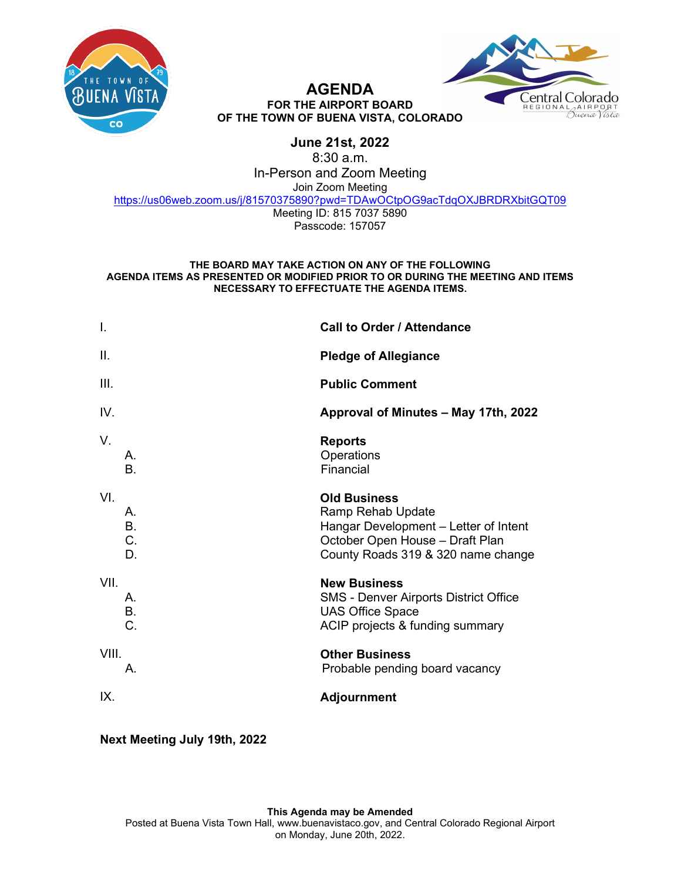



### **AGENDA FOR THE AIRPORT BOARD OF THE TOWN OF BUENA VISTA, COLORADO**

# **June 21st, 2022**

8:30 a.m.

In-Person and Zoom Meeting

Join Zoom Meeting

[https://us06web.zoom.us/j/81570375890?pwd=TDAwOCtpOG9acTdqOXJBRDRXbitGQT09](https://www.google.com/url?q=https://us06web.zoom.us/j/81570375890?pwd%3DTDAwOCtpOG9acTdqOXJBRDRXbitGQT09&sa=D&source=calendar&ust=1647461529293509&usg=AOvVaw2P4UTjTRsGpU4b5JFJGL5b)

Meeting ID: 815 7037 5890 Passcode: 157057

### **THE BOARD MAY TAKE ACTION ON ANY OF THE FOLLOWING AGENDA ITEMS AS PRESENTED OR MODIFIED PRIOR TO OR DURING THE MEETING AND ITEMS NECESSARY TO EFFECTUATE THE AGENDA ITEMS.**

| $\mathsf{l}$ . |                             | <b>Call to Order / Attendance</b>                                                                                                                          |
|----------------|-----------------------------|------------------------------------------------------------------------------------------------------------------------------------------------------------|
| ΙΙ.            |                             | <b>Pledge of Allegiance</b>                                                                                                                                |
| III.           |                             | <b>Public Comment</b>                                                                                                                                      |
| IV.            |                             | Approval of Minutes - May 17th, 2022                                                                                                                       |
| V.             | А.<br><b>B.</b>             | <b>Reports</b><br>Operations<br>Financial                                                                                                                  |
| VI.            | Α.<br><b>B.</b><br>C.<br>D. | <b>Old Business</b><br>Ramp Rehab Update<br>Hangar Development - Letter of Intent<br>October Open House - Draft Plan<br>County Roads 319 & 320 name change |
| VII.           | А.<br><b>B.</b><br>C.       | <b>New Business</b><br><b>SMS - Denver Airports District Office</b><br><b>UAS Office Space</b><br>ACIP projects & funding summary                          |
| VIII.          | Α.                          | <b>Other Business</b><br>Probable pending board vacancy                                                                                                    |
| IX.            |                             | <b>Adjournment</b>                                                                                                                                         |

**Next Meeting July 19th, 2022**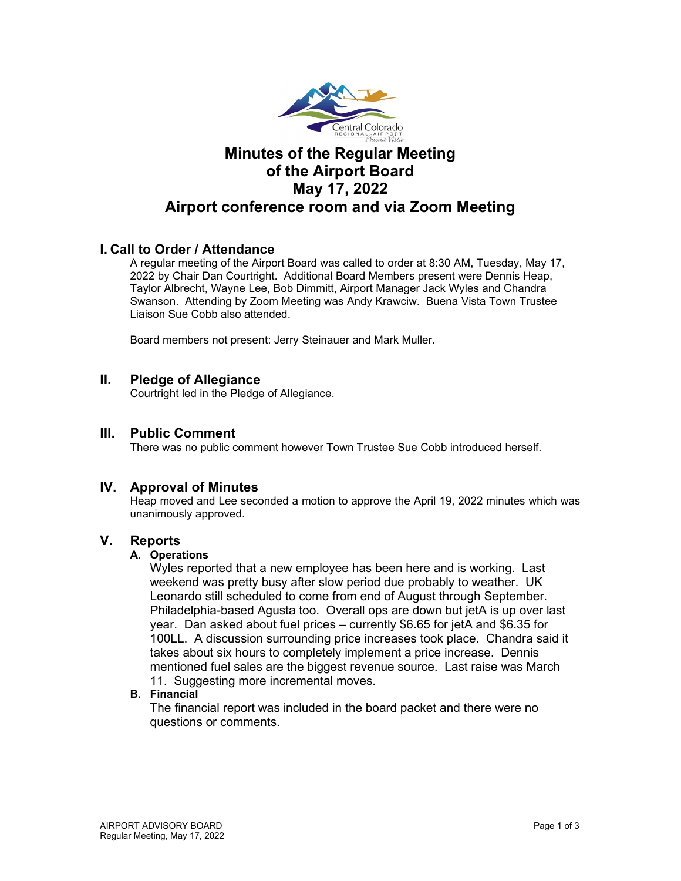

# **Minutes of the Regular Meeting of the Airport Board May 17, 2022 Airport conference room and via Zoom Meeting**

# **I. Call to Order / Attendance**

A regular meeting of the Airport Board was called to order at 8:30 AM, Tuesday, May 17, 2022 by Chair Dan Courtright. Additional Board Members present were Dennis Heap, Taylor Albrecht, Wayne Lee, Bob Dimmitt, Airport Manager Jack Wyles and Chandra Swanson. Attending by Zoom Meeting was Andy Krawciw. Buena Vista Town Trustee Liaison Sue Cobb also attended.

Board members not present: Jerry Steinauer and Mark Muller.

# **II. Pledge of Allegiance**

Courtright led in the Pledge of Allegiance.

# **III. Public Comment**

There was no public comment however Town Trustee Sue Cobb introduced herself.

# **IV. Approval of Minutes**

Heap moved and Lee seconded a motion to approve the April 19, 2022 minutes which was unanimously approved.

# **V. Reports**

# **A. Operations**

Wyles reported that a new employee has been here and is working. Last weekend was pretty busy after slow period due probably to weather. UK Leonardo still scheduled to come from end of August through September. Philadelphia-based Agusta too. Overall ops are down but jetA is up over last year. Dan asked about fuel prices – currently \$6.65 for jetA and \$6.35 for 100LL. A discussion surrounding price increases took place. Chandra said it takes about six hours to completely implement a price increase. Dennis mentioned fuel sales are the biggest revenue source. Last raise was March 11. Suggesting more incremental moves.

# **B. Financial**

The financial report was included in the board packet and there were no questions or comments.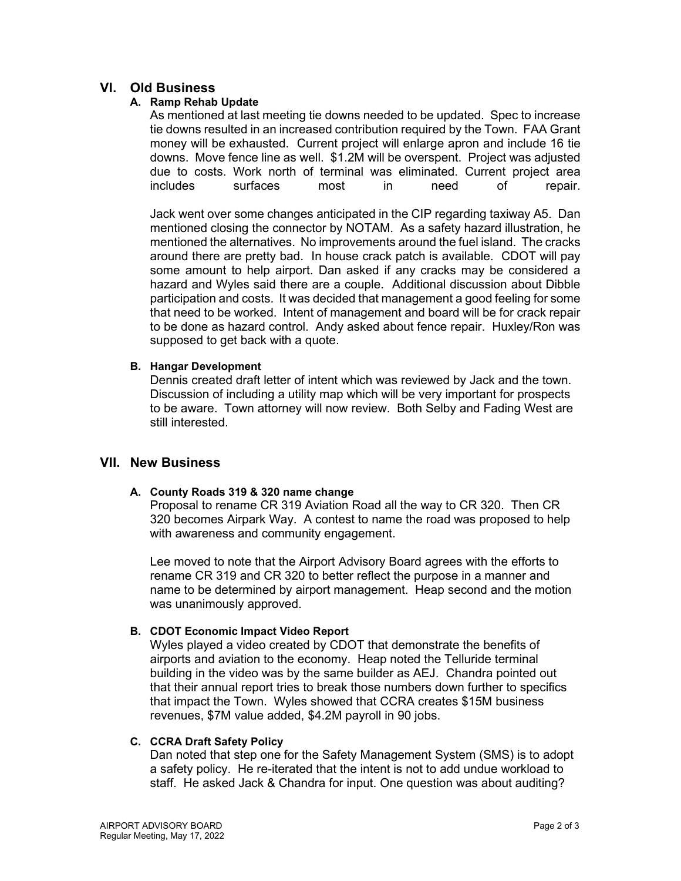# **VI. Old Business**

# **A. Ramp Rehab Update**

As mentioned at last meeting tie downs needed to be updated. Spec to increase tie downs resulted in an increased contribution required by the Town. FAA Grant money will be exhausted. Current project will enlarge apron and include 16 tie downs. Move fence line as well. \$1.2M will be overspent. Project was adjusted due to costs. Work north of terminal was eliminated. Current project area includes surfaces most in need of repair.

Jack went over some changes anticipated in the CIP regarding taxiway A5. Dan mentioned closing the connector by NOTAM. As a safety hazard illustration, he mentioned the alternatives. No improvements around the fuel island. The cracks around there are pretty bad. In house crack patch is available. CDOT will pay some amount to help airport. Dan asked if any cracks may be considered a hazard and Wyles said there are a couple. Additional discussion about Dibble participation and costs. It was decided that management a good feeling for some that need to be worked. Intent of management and board will be for crack repair to be done as hazard control. Andy asked about fence repair. Huxley/Ron was supposed to get back with a quote.

# **B. Hangar Development**

Dennis created draft letter of intent which was reviewed by Jack and the town. Discussion of including a utility map which will be very important for prospects to be aware. Town attorney will now review. Both Selby and Fading West are still interested.

# **VII. New Business**

# **A. County Roads 319 & 320 name change**

Proposal to rename CR 319 Aviation Road all the way to CR 320. Then CR 320 becomes Airpark Way. A contest to name the road was proposed to help with awareness and community engagement.

Lee moved to note that the Airport Advisory Board agrees with the efforts to rename CR 319 and CR 320 to better reflect the purpose in a manner and name to be determined by airport management. Heap second and the motion was unanimously approved.

# **B. CDOT Economic Impact Video Report**

Wyles played a video created by CDOT that demonstrate the benefits of airports and aviation to the economy. Heap noted the Telluride terminal building in the video was by the same builder as AEJ. Chandra pointed out that their annual report tries to break those numbers down further to specifics that impact the Town. Wyles showed that CCRA creates \$15M business revenues, \$7M value added, \$4.2M payroll in 90 jobs.

# **C. CCRA Draft Safety Policy**

Dan noted that step one for the Safety Management System (SMS) is to adopt a safety policy. He re-iterated that the intent is not to add undue workload to staff. He asked Jack & Chandra for input. One question was about auditing?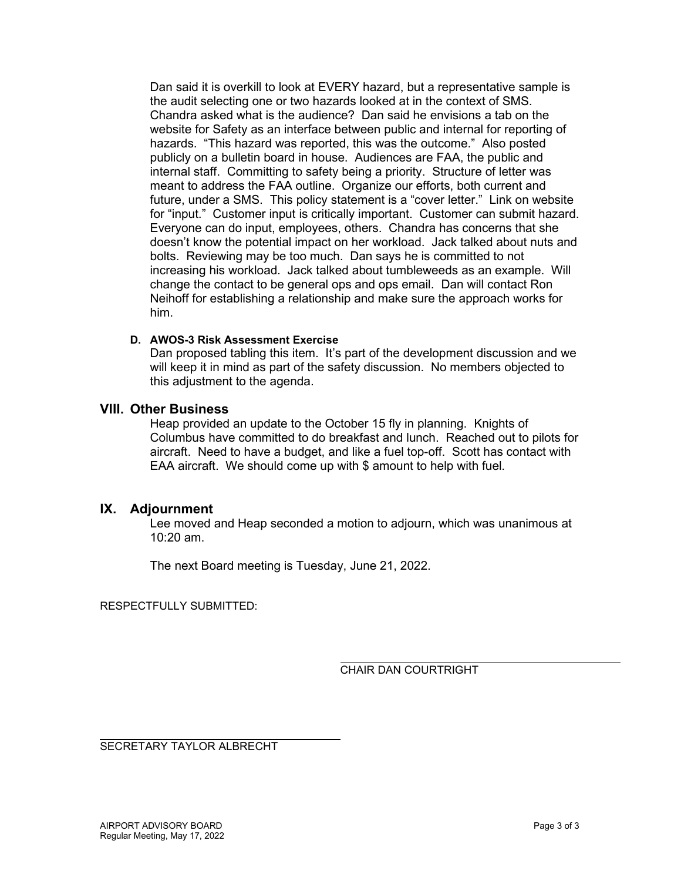Dan said it is overkill to look at EVERY hazard, but a representative sample is the audit selecting one or two hazards looked at in the context of SMS. Chandra asked what is the audience? Dan said he envisions a tab on the website for Safety as an interface between public and internal for reporting of hazards. "This hazard was reported, this was the outcome." Also posted publicly on a bulletin board in house. Audiences are FAA, the public and internal staff. Committing to safety being a priority. Structure of letter was meant to address the FAA outline. Organize our efforts, both current and future, under a SMS. This policy statement is a "cover letter." Link on website for "input." Customer input is critically important. Customer can submit hazard. Everyone can do input, employees, others. Chandra has concerns that she doesn't know the potential impact on her workload. Jack talked about nuts and bolts. Reviewing may be too much. Dan says he is committed to not increasing his workload. Jack talked about tumbleweeds as an example. Will change the contact to be general ops and ops email. Dan will contact Ron Neihoff for establishing a relationship and make sure the approach works for him.

# **D. AWOS-3 Risk Assessment Exercise**

Dan proposed tabling this item. It's part of the development discussion and we will keep it in mind as part of the safety discussion. No members objected to this adjustment to the agenda.

# **VIII. Other Business**

Heap provided an update to the October 15 fly in planning. Knights of Columbus have committed to do breakfast and lunch. Reached out to pilots for aircraft. Need to have a budget, and like a fuel top-off. Scott has contact with EAA aircraft. We should come up with \$ amount to help with fuel.

# **IX. Adjournment**

Lee moved and Heap seconded a motion to adjourn, which was unanimous at  $10:20$  am.

The next Board meeting is Tuesday, June 21, 2022.

RESPECTFULLY SUBMITTED:

CHAIR DAN COURTRIGHT

SECRETARY TAYLOR ALBRECHT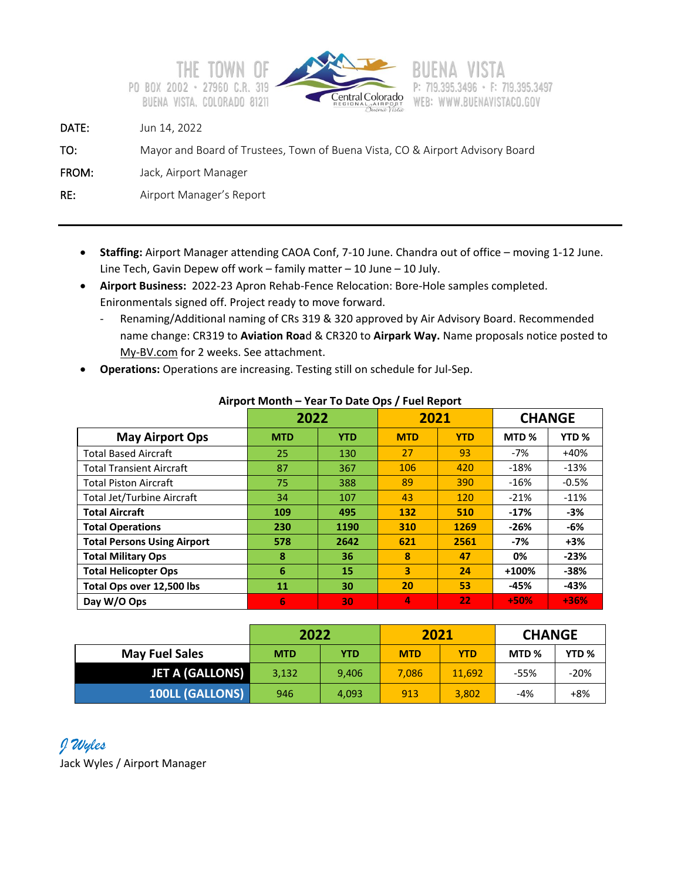



# F: 719.395.3497 WEB: WWW.BUENAVISTACO.GOV

DATE: Jun 14, 2022

```
TO: Mayor and Board of Trustees, Town of Buena Vista, CO & Airport Advisory Board
```
FROM: Jack, Airport Manager

RE: Airport Manager's Report

- **Staffing:** Airport Manager attending CAOA Conf, 7-10 June. Chandra out of office moving 1-12 June. Line Tech, Gavin Depew off work – family matter – 10 June – 10 July.
- **Airport Business:** 2022-23 Apron Rehab-Fence Relocation: Bore-Hole samples completed. Enironmentals signed off. Project ready to move forward.
	- Renaming/Additional naming of CRs 319 & 320 approved by Air Advisory Board. Recommended name change: CR319 to **Aviation Roa**d & CR320 to **Airpark Way.** Name proposals notice posted to My-BV.com for 2 weeks. See attachment.
- **Operations:** Operations are increasing. Testing still on schedule for Jul-Sep.

|                                    | 2022       |            | 2021                    |            | <b>CHANGE</b>    |                  |
|------------------------------------|------------|------------|-------------------------|------------|------------------|------------------|
| <b>May Airport Ops</b>             | <b>MTD</b> | <b>YTD</b> | <b>MTD</b>              | <b>YTD</b> | MTD <sub>%</sub> | YTD <sub>%</sub> |
| <b>Total Based Aircraft</b>        | 25         | 130        | 27                      | 93         | $-7%$            | $+40%$           |
| <b>Total Transient Aircraft</b>    | 87         | 367        | 106                     | 420        | $-18%$           | $-13%$           |
| <b>Total Piston Aircraft</b>       | 75         | 388        | 89                      | 390        | $-16%$           | $-0.5%$          |
| <b>Total Jet/Turbine Aircraft</b>  | 34         | 107        | 43                      | 120        | $-21%$           | $-11%$           |
| <b>Total Aircraft</b>              | 109        | 495        | 132                     | 510        | $-17%$           | -3%              |
| <b>Total Operations</b>            | 230        | 1190       | 310                     | 1269       | -26%             | -6%              |
| <b>Total Persons Using Airport</b> | 578        | 2642       | 621                     | 2561       | -7%              | $+3%$            |
| <b>Total Military Ops</b>          | 8          | 36         | 8                       | 47         | 0%               | $-23%$           |
| <b>Total Helicopter Ops</b>        | 6          | 15         | $\overline{\mathbf{3}}$ | 24         | +100%            | $-38%$           |
| Total Ops over 12,500 lbs          | 11         | 30         | 20                      | 53         | -45%             | -43%             |
| Day W/O Ops                        | 6          | 30         | 4                       | 22         | $+50%$           | $+36%$           |

# **Airport Month – Year To Date Ops / Fuel Report**

|                        | 2022       |            | 2021       |            | <b>CHANGE</b> |                  |
|------------------------|------------|------------|------------|------------|---------------|------------------|
| <b>May Fuel Sales</b>  | <b>MTD</b> | <b>YTD</b> | <b>MTD</b> | <b>YTD</b> | MTD %         | YTD <sub>%</sub> |
| <b>JET A (GALLONS)</b> | 3,132      | 9,406      | 7,086      | 11.692     | -55%          | -20%             |
| <b>100LL (GALLONS)</b> | 946        | 4,093      | 913        | 3,802      | -4%           | +8%              |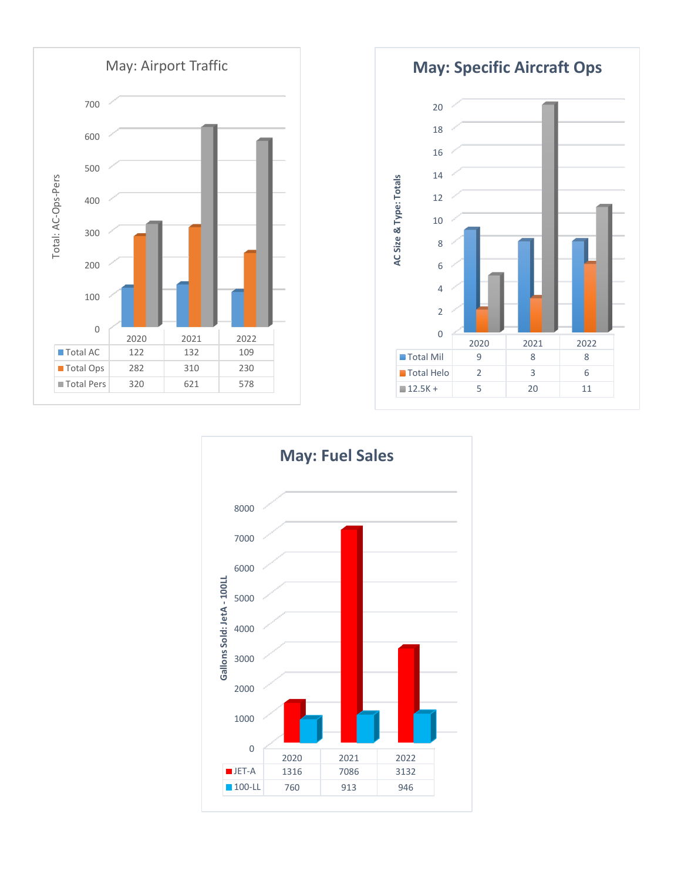

**May: Specific Aircraft Ops**



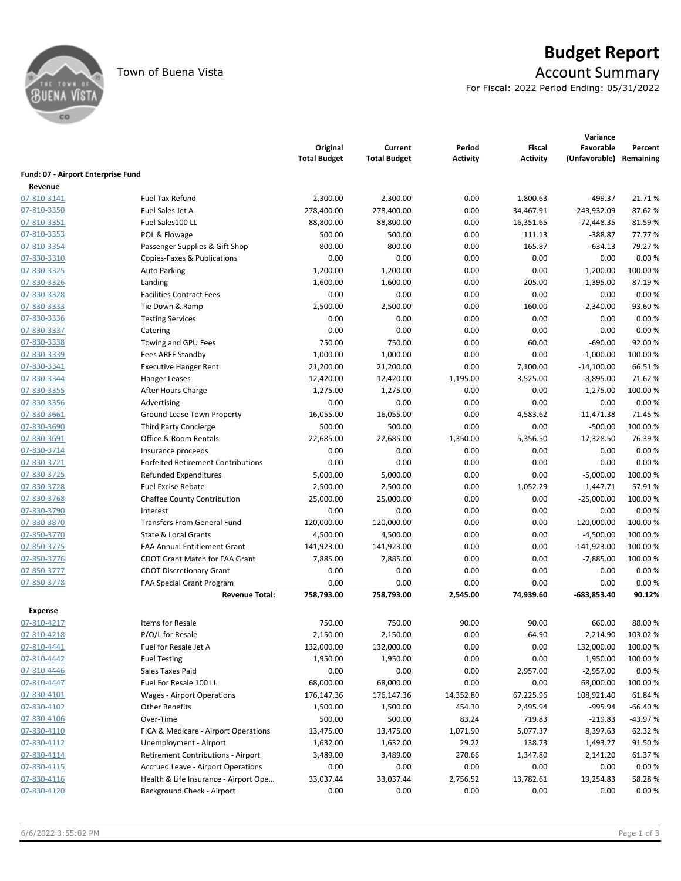

# Town of Buena Vista **Account Summary**

For Fiscal: 2022 Period Ending: 05/31/2022

|                                    |                                           | Original<br><b>Total Budget</b> | Current<br><b>Total Budget</b> | Period<br><b>Activity</b> | <b>Fiscal</b><br><b>Activity</b> | Variance<br>Favorable<br>(Unfavorable) | Percent<br>Remaining |
|------------------------------------|-------------------------------------------|---------------------------------|--------------------------------|---------------------------|----------------------------------|----------------------------------------|----------------------|
| Fund: 07 - Airport Enterprise Fund |                                           |                                 |                                |                           |                                  |                                        |                      |
| Revenue                            |                                           |                                 |                                |                           |                                  |                                        |                      |
| 07-810-3141                        | <b>Fuel Tax Refund</b>                    | 2,300.00                        | 2,300.00                       | 0.00                      | 1,800.63                         | $-499.37$                              | 21.71%               |
| 07-810-3350                        | Fuel Sales Jet A                          | 278,400.00                      | 278,400.00                     | 0.00                      | 34,467.91                        | $-243,932.09$                          | 87.62%               |
| 07-810-3351                        | Fuel Sales100 LL                          | 88,800.00                       | 88,800.00                      | 0.00                      | 16,351.65                        | $-72,448.35$                           | 81.59%               |
| 07-810-3353                        | POL & Flowage                             | 500.00                          | 500.00                         | 0.00                      | 111.13                           | $-388.87$                              | 77.77 %              |
| 07-810-3354                        | Passenger Supplies & Gift Shop            | 800.00                          | 800.00                         | 0.00                      | 165.87                           | $-634.13$                              | 79.27 %              |
| 07-830-3310                        | Copies-Faxes & Publications               | 0.00                            | 0.00                           | 0.00                      | 0.00                             | 0.00                                   | 0.00%                |
| 07-830-3325                        | <b>Auto Parking</b>                       | 1,200.00                        | 1,200.00                       | 0.00                      | 0.00                             | $-1,200.00$                            | 100.00%              |
| 07-830-3326                        | Landing                                   | 1,600.00                        | 1,600.00                       | 0.00                      | 205.00                           | $-1,395.00$                            | 87.19%               |
| 07-830-3328                        | <b>Facilities Contract Fees</b>           | 0.00                            | 0.00                           | 0.00                      | 0.00                             | 0.00                                   | 0.00%                |
| 07-830-3333                        | Tie Down & Ramp                           | 2,500.00                        | 2,500.00                       | 0.00                      | 160.00                           | $-2,340.00$                            | 93.60%               |
| 07-830-3336                        | <b>Testing Services</b>                   | 0.00                            | 0.00                           | 0.00                      | 0.00                             | 0.00                                   | 0.00%                |
| 07-830-3337                        | Catering                                  | 0.00                            | 0.00                           | 0.00                      | 0.00                             | 0.00                                   | 0.00%                |
| 07-830-3338                        | Towing and GPU Fees                       | 750.00                          | 750.00                         | 0.00                      | 60.00                            | $-690.00$                              | 92.00%               |
| 07-830-3339                        | Fees ARFF Standby                         | 1,000.00                        | 1,000.00                       | 0.00                      | 0.00                             | $-1,000.00$                            | 100.00%              |
| 07-830-3341                        | <b>Executive Hanger Rent</b>              | 21,200.00                       | 21,200.00                      | 0.00                      | 7,100.00                         | $-14,100.00$                           | 66.51%               |
| 07-830-3344                        | Hanger Leases                             | 12,420.00                       | 12,420.00                      | 1,195.00                  | 3,525.00                         | $-8,895.00$                            | 71.62%               |
| 07-830-3355                        | After Hours Charge                        | 1,275.00                        | 1,275.00                       | 0.00                      | 0.00                             | $-1,275.00$                            | 100.00%              |
| 07-830-3356                        | Advertising                               | 0.00                            | 0.00                           | 0.00                      | 0.00                             | 0.00                                   | 0.00%                |
| 07-830-3661                        | Ground Lease Town Property                | 16,055.00                       | 16,055.00                      | 0.00                      | 4,583.62                         | $-11,471.38$                           | 71.45 %              |
| 07-830-3690                        | <b>Third Party Concierge</b>              | 500.00                          | 500.00                         | 0.00                      | 0.00                             | $-500.00$                              | 100.00%              |
| 07-830-3691                        | Office & Room Rentals                     | 22,685.00                       | 22,685.00                      | 1,350.00                  | 5,356.50                         | $-17,328.50$                           | 76.39%               |
| 07-830-3714                        | Insurance proceeds                        | 0.00                            | 0.00                           | 0.00                      | 0.00                             | 0.00                                   | 0.00%                |
| 07-830-3721                        | <b>Forfeited Retirement Contributions</b> | 0.00                            | 0.00                           | 0.00                      | 0.00                             | 0.00                                   | 0.00%                |
| 07-830-3725                        | <b>Refunded Expenditures</b>              | 5,000.00                        | 5,000.00                       | 0.00                      | 0.00                             | $-5,000.00$                            | 100.00%              |
| 07-830-3728                        | <b>Fuel Excise Rebate</b>                 | 2,500.00                        | 2,500.00                       | 0.00                      | 1,052.29                         | $-1,447.71$                            | 57.91%               |
| 07-830-3768                        | Chaffee County Contribution               | 25,000.00                       | 25,000.00                      | 0.00                      | 0.00                             | $-25,000.00$                           | 100.00%              |
| 07-830-3790                        | Interest                                  | 0.00                            | 0.00                           | 0.00                      | 0.00                             | 0.00                                   | 0.00%                |
| 07-830-3870                        | <b>Transfers From General Fund</b>        | 120,000.00                      | 120,000.00                     | 0.00                      | 0.00                             | $-120,000.00$                          | 100.00 %             |
| 07-850-3770                        | State & Local Grants                      | 4,500.00                        | 4,500.00                       | 0.00                      | 0.00                             | $-4,500.00$                            | 100.00 %             |
| 07-850-3775                        | <b>FAA Annual Entitlement Grant</b>       | 141,923.00                      | 141,923.00                     | 0.00                      | 0.00                             | $-141,923.00$                          | 100.00 %             |
| 07-850-3776                        | <b>CDOT Grant Match for FAA Grant</b>     | 7,885.00                        | 7,885.00                       | 0.00                      | 0.00                             | $-7,885.00$                            | 100.00%              |
| 07-850-3777                        | <b>CDOT Discretionary Grant</b>           | 0.00                            | 0.00                           | 0.00                      | 0.00                             | 0.00                                   | 0.00%                |
| 07-850-3778                        | <b>FAA Special Grant Program</b>          | 0.00                            | 0.00                           | 0.00                      | 0.00                             | 0.00                                   | 0.00%                |
|                                    | <b>Revenue Total:</b>                     | 758,793.00                      | 758,793.00                     | 2,545.00                  | 74,939.60                        | $-683,853.40$                          | 90.12%               |
| <b>Expense</b>                     |                                           |                                 |                                |                           |                                  |                                        |                      |
| 07-810-4217                        | Items for Resale                          | 750.00                          | 750.00                         | 90.00                     | 90.00                            | 660.00                                 | 88.00%               |
| 07-810-4218                        | P/O/L for Resale                          | 2,150.00                        | 2,150.00                       | 0.00                      | $-64.90$                         | 2,214.90                               | 103.02%              |
| 07-810-4441                        | Fuel for Resale Jet A                     | 132,000.00                      | 132,000.00                     | 0.00                      | 0.00                             | 132,000.00                             | 100.00%              |
| 07-810-4442                        | <b>Fuel Testing</b>                       | 1,950.00                        | 1,950.00                       | 0.00                      | 0.00                             | 1,950.00                               | 100.00%              |
| 07-810-4446                        | Sales Taxes Paid                          | 0.00                            | 0.00                           | 0.00                      | 2,957.00                         | $-2,957.00$                            | 0.00%                |
| 07-810-4447                        | Fuel For Resale 100 LL                    | 68,000.00                       | 68,000.00                      | 0.00                      | 0.00                             | 68,000.00                              | 100.00%              |
| 07-830-4101                        | <b>Wages - Airport Operations</b>         | 176,147.36                      | 176,147.36                     | 14,352.80                 | 67,225.96                        | 108,921.40                             | 61.84%               |
| 07-830-4102                        | <b>Other Benefits</b>                     | 1,500.00                        | 1,500.00                       | 454.30                    | 2,495.94                         | $-995.94$                              | $-66.40%$            |
| 07-830-4106                        | Over-Time                                 | 500.00                          | 500.00                         | 83.24                     | 719.83                           | $-219.83$                              | -43.97%              |
|                                    | FICA & Medicare - Airport Operations      | 13,475.00                       | 13,475.00                      | 1,071.90                  | 5,077.37                         | 8,397.63                               | 62.32%               |
| 07-830-4110<br>07-830-4112         | Unemployment - Airport                    | 1,632.00                        | 1,632.00                       | 29.22                     | 138.73                           | 1,493.27                               | 91.50%               |
| 07-830-4114                        | Retirement Contributions - Airport        | 3,489.00                        | 3,489.00                       | 270.66                    | 1,347.80                         | 2,141.20                               | 61.37%               |
| 07-830-4115                        | <b>Accrued Leave - Airport Operations</b> | 0.00                            | 0.00                           | 0.00                      | 0.00                             | 0.00                                   | 0.00%                |
| 07-830-4116                        | Health & Life Insurance - Airport Ope     | 33,037.44                       | 33,037.44                      | 2,756.52                  | 13,782.61                        | 19,254.83                              | 58.28%               |
| 07-830-4120                        | Background Check - Airport                | 0.00                            | 0.00                           | 0.00                      |                                  | 0.00                                   | 0.00%                |
|                                    |                                           |                                 |                                |                           | 0.00                             |                                        |                      |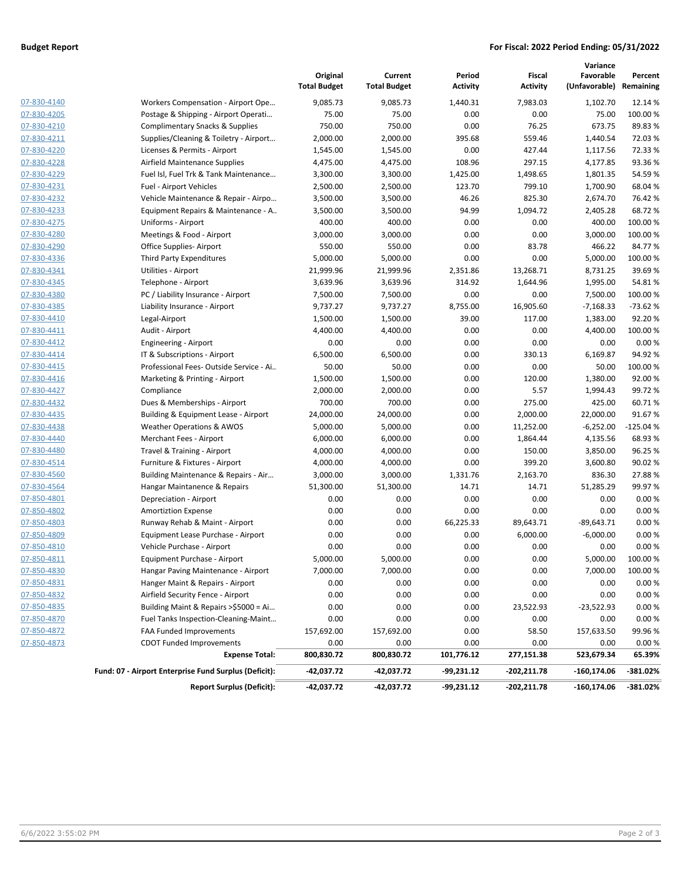### **Budget Report For Fiscal: 2022 Period Ending: 05/31/2022**

|                    |                                                       | Original<br><b>Total Budget</b> | Current<br><b>Total Budget</b> | Period<br><b>Activity</b> | Fiscal<br><b>Activity</b> | Variance<br>Favorable<br>(Unfavorable) Remaining | Percent    |
|--------------------|-------------------------------------------------------|---------------------------------|--------------------------------|---------------------------|---------------------------|--------------------------------------------------|------------|
| 07-830-4140        | Workers Compensation - Airport Ope                    | 9,085.73                        | 9,085.73                       | 1,440.31                  | 7,983.03                  | 1,102.70                                         | 12.14 %    |
| 07-830-4205        | Postage & Shipping - Airport Operati                  | 75.00                           | 75.00                          | 0.00                      | 0.00                      | 75.00                                            | 100.00%    |
| 07-830-4210        | <b>Complimentary Snacks &amp; Supplies</b>            | 750.00                          | 750.00                         | 0.00                      | 76.25                     | 673.75                                           | 89.83%     |
| 07-830-4211        | Supplies/Cleaning & Toiletry - Airport                | 2,000.00                        | 2,000.00                       | 395.68                    | 559.46                    | 1,440.54                                         | 72.03%     |
| 07-830-4220        | Licenses & Permits - Airport                          | 1,545.00                        | 1,545.00                       | 0.00                      | 427.44                    | 1,117.56                                         | 72.33 %    |
| 07-830-4228        | Airfield Maintenance Supplies                         | 4,475.00                        | 4,475.00                       | 108.96                    | 297.15                    | 4,177.85                                         | 93.36%     |
| 07-830-4229        | Fuel Isl, Fuel Trk & Tank Maintenance                 | 3,300.00                        | 3,300.00                       | 1,425.00                  | 1,498.65                  | 1,801.35                                         | 54.59%     |
| 07-830-4231        | Fuel - Airport Vehicles                               | 2,500.00                        | 2,500.00                       | 123.70                    | 799.10                    | 1,700.90                                         | 68.04 %    |
| 07-830-4232        | Vehicle Maintenance & Repair - Airpo                  | 3,500.00                        | 3,500.00                       | 46.26                     | 825.30                    | 2,674.70                                         | 76.42 %    |
| 07-830-4233        | Equipment Repairs & Maintenance - A                   | 3,500.00                        | 3,500.00                       | 94.99                     | 1,094.72                  | 2,405.28                                         | 68.72%     |
| 07-830-4275        | Uniforms - Airport                                    | 400.00                          | 400.00                         | 0.00                      | 0.00                      | 400.00                                           | 100.00 %   |
| 07-830-4280        | Meetings & Food - Airport                             | 3,000.00                        | 3,000.00                       | 0.00                      | 0.00                      | 3,000.00                                         | 100.00 %   |
| 07-830-4290        | Office Supplies-Airport                               | 550.00                          | 550.00                         | 0.00                      | 83.78                     | 466.22                                           | 84.77%     |
| 07-830-4336        | <b>Third Party Expenditures</b>                       | 5,000.00                        | 5,000.00                       | 0.00                      | 0.00                      | 5,000.00                                         | 100.00 %   |
| 07-830-4341        | Utilities - Airport                                   | 21,999.96                       | 21,999.96                      | 2,351.86                  | 13,268.71                 | 8,731.25                                         | 39.69%     |
| 07-830-4345        | Telephone - Airport                                   | 3,639.96                        | 3,639.96                       | 314.92                    | 1,644.96                  | 1,995.00                                         | 54.81%     |
| 07-830-4380        | PC / Liability Insurance - Airport                    | 7,500.00                        | 7,500.00                       | 0.00                      | 0.00                      | 7,500.00                                         | 100.00 %   |
| 07-830-4385        |                                                       |                                 |                                |                           |                           | $-7,168.33$                                      |            |
| 07-830-4410        | Liability Insurance - Airport<br>Legal-Airport        | 9,737.27                        | 9,737.27                       | 8,755.00                  | 16,905.60                 |                                                  | $-73.62%$  |
| 07-830-4411        |                                                       | 1,500.00                        | 1,500.00                       | 39.00                     | 117.00                    | 1,383.00                                         | 92.20%     |
|                    | Audit - Airport                                       | 4,400.00                        | 4,400.00                       | 0.00                      | 0.00                      | 4,400.00                                         | 100.00%    |
| 07-830-4412        | Engineering - Airport                                 | 0.00                            | 0.00                           | 0.00                      | 0.00                      | 0.00                                             | 0.00%      |
| 07-830-4414        | IT & Subscriptions - Airport                          | 6,500.00                        | 6,500.00                       | 0.00                      | 330.13                    | 6,169.87                                         | 94.92%     |
| 07-830-4415        | Professional Fees-Outside Service - Ai                | 50.00                           | 50.00                          | 0.00                      | 0.00                      | 50.00                                            | 100.00 %   |
| 07-830-4416        | Marketing & Printing - Airport                        | 1,500.00                        | 1,500.00                       | 0.00                      | 120.00                    | 1,380.00                                         | 92.00 %    |
| 07-830-4427        | Compliance                                            | 2,000.00                        | 2,000.00                       | 0.00                      | 5.57                      | 1,994.43                                         | 99.72%     |
| 07-830-4432        | Dues & Memberships - Airport                          | 700.00                          | 700.00                         | 0.00                      | 275.00                    | 425.00                                           | 60.71%     |
| 07-830-4435        | Building & Equipment Lease - Airport                  | 24,000.00                       | 24,000.00                      | 0.00                      | 2,000.00                  | 22,000.00                                        | 91.67%     |
| 07-830-4438        | <b>Weather Operations &amp; AWOS</b>                  | 5,000.00                        | 5,000.00                       | 0.00                      | 11,252.00                 | $-6,252.00$                                      | $-125.04%$ |
| 07-830-4440        | Merchant Fees - Airport                               | 6,000.00                        | 6,000.00                       | 0.00                      | 1,864.44                  | 4,135.56                                         | 68.93%     |
| 07-830-4480        | Travel & Training - Airport                           | 4,000.00                        | 4,000.00                       | 0.00                      | 150.00                    | 3,850.00                                         | 96.25 %    |
| 07-830-4514        | Furniture & Fixtures - Airport                        | 4,000.00                        | 4,000.00                       | 0.00                      | 399.20                    | 3,600.80                                         | 90.02 %    |
| 07-830-4560        | Building Maintenance & Repairs - Air                  | 3,000.00                        | 3,000.00                       | 1,331.76                  | 2,163.70                  | 836.30                                           | 27.88%     |
| 07-830-4564        | Hangar Maintanence & Repairs                          | 51,300.00                       | 51,300.00                      | 14.71                     | 14.71                     | 51,285.29                                        | 99.97%     |
| 07-850-4801        | Depreciation - Airport                                | 0.00                            | 0.00                           | 0.00                      | 0.00                      | 0.00                                             | 0.00%      |
| 07-850-4802        | <b>Amortiztion Expense</b>                            | 0.00                            | 0.00                           | 0.00                      | 0.00                      | 0.00                                             | 0.00%      |
| 07-850-4803        | Runway Rehab & Maint - Airport                        | 0.00                            | 0.00                           | 66,225.33                 | 89,643.71                 | $-89,643.71$                                     | 0.00%      |
| 07-850-4809        | Equipment Lease Purchase - Airport                    | 0.00                            | 0.00                           | 0.00                      | 6,000.00                  | $-6,000.00$                                      | 0.00%      |
| 07-850-4810        | Vehicle Purchase - Airport                            | 0.00                            | 0.00                           | 0.00                      | 0.00                      | 0.00                                             | 0.00%      |
| <u>07-850-4811</u> | Equipment Purchase - Airport                          | 5,000.00                        | 5,000.00                       | 0.00                      | 0.00                      | 5,000.00                                         | 100.00 %   |
| 07-850-4830        | Hangar Paving Maintenance - Airport                   | 7,000.00                        | 7,000.00                       | 0.00                      | 0.00                      | 7,000.00                                         | 100.00 %   |
| 07-850-4831        | Hanger Maint & Repairs - Airport                      | 0.00                            | 0.00                           | 0.00                      | 0.00                      | 0.00                                             | 0.00%      |
| 07-850-4832        | Airfield Security Fence - Airport                     | 0.00                            | 0.00                           | 0.00                      | 0.00                      | 0.00                                             | 0.00%      |
| 07-850-4835        | Building Maint & Repairs >\$5000 = Ai                 | 0.00                            | 0.00                           | 0.00                      | 23,522.93                 | $-23,522.93$                                     | 0.00%      |
| 07-850-4870        | Fuel Tanks Inspection-Cleaning-Maint                  | 0.00                            | 0.00                           | 0.00                      | 0.00                      | 0.00                                             | 0.00%      |
| 07-850-4872        | FAA Funded Improvements                               | 157,692.00                      | 157,692.00                     | 0.00                      | 58.50                     | 157,633.50                                       | 99.96%     |
| 07-850-4873        | <b>CDOT Funded Improvements</b>                       | 0.00                            | 0.00                           | 0.00                      | 0.00                      | 0.00                                             | 0.00%      |
|                    | <b>Expense Total:</b>                                 | 800,830.72                      | 800,830.72                     | 101,776.12                | 277,151.38                | 523,679.34                                       | 65.39%     |
|                    | Fund: 07 - Airport Enterprise Fund Surplus (Deficit): | $-42,037.72$                    | -42,037.72                     | -99,231.12                | -202,211.78               | $-160, 174.06$                                   | -381.02%   |
|                    | <b>Report Surplus (Deficit):</b>                      | -42,037.72                      | -42,037.72                     | -99,231.12                | -202,211.78               | $-160, 174.06$                                   | $-381.02%$ |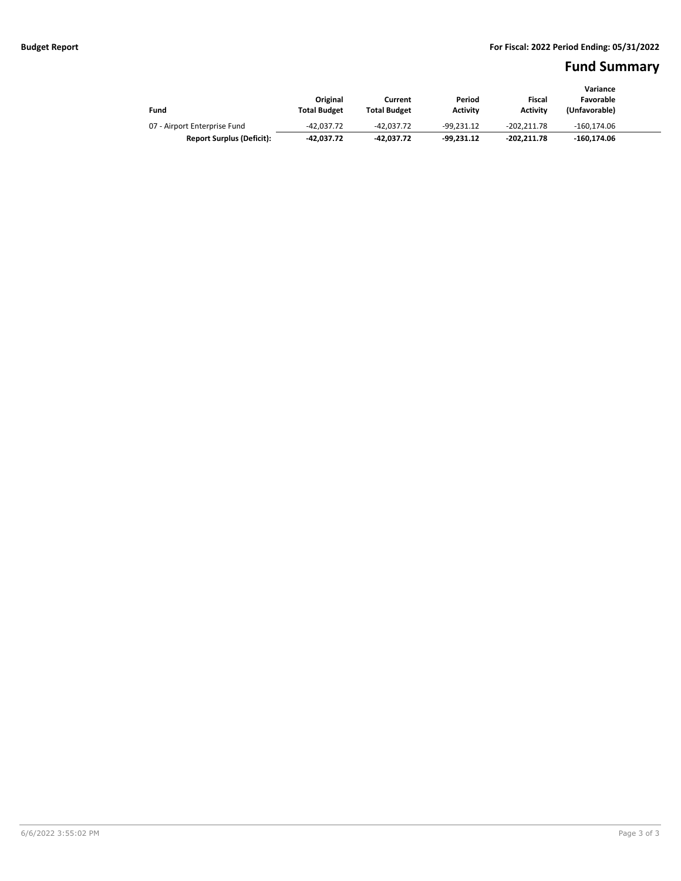# **Fund Summary**

|                                  | Original            | Current             | Period          | Fiscal          | Variance<br>Favorable |  |
|----------------------------------|---------------------|---------------------|-----------------|-----------------|-----------------------|--|
| Fund                             | <b>Total Budget</b> | <b>Total Budget</b> | <b>Activity</b> | <b>Activity</b> | (Unfavorable)         |  |
| 07 - Airport Enterprise Fund     | $-42.037.72$        | -42.037.72          | -99.231.12      | $-202.211.78$   | $-160.174.06$         |  |
| <b>Report Surplus (Deficit):</b> | -42.037.72          | -42.037.72          | $-99.231.12$    | -202.211.78     | -160.174.06           |  |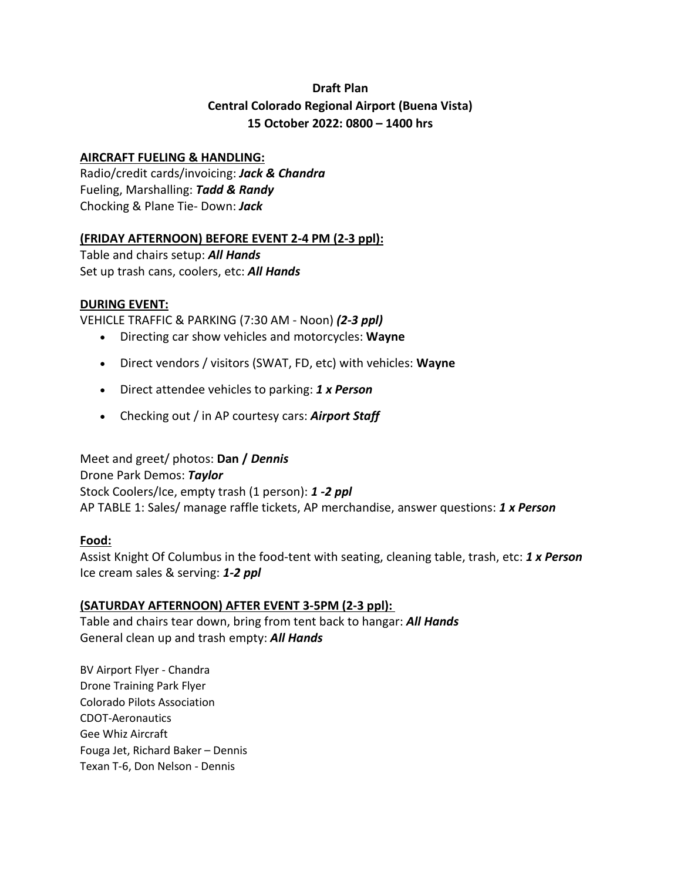# **Draft Plan Central Colorado Regional Airport (Buena Vista) 15 October 2022: 0800 – 1400 hrs**

# **AIRCRAFT FUELING & HANDLING:**

Radio/credit cards/invoicing: *Jack & Chandra* Fueling, Marshalling: *Tadd & Randy* Chocking & Plane Tie- Down: *Jack*

# **(FRIDAY AFTERNOON) BEFORE EVENT 2-4 PM (2-3 ppl):**

Table and chairs setup: *All Hands* Set up trash cans, coolers, etc: *All Hands*

# **DURING EVENT:**

VEHICLE TRAFFIC & PARKING (7:30 AM - Noon) *(2-3 ppl)*

- Directing car show vehicles and motorcycles: **Wayne**
- Direct vendors / visitors (SWAT, FD, etc) with vehicles: **Wayne**
- Direct attendee vehicles to parking: *1 x Person*
- Checking out / in AP courtesy cars: *Airport Staff*

# Meet and greet/ photos: **Dan /** *Dennis*

Drone Park Demos: *Taylor* Stock Coolers/Ice, empty trash (1 person): *1 -2 ppl* AP TABLE 1: Sales/ manage raffle tickets, AP merchandise, answer questions: *1 x Person*

# **Food:**

Assist Knight Of Columbus in the food-tent with seating, cleaning table, trash, etc: *1 x Person* Ice cream sales & serving: *1-2 ppl*

# **(SATURDAY AFTERNOON) AFTER EVENT 3-5PM (2-3 ppl):**

Table and chairs tear down, bring from tent back to hangar: *All Hands* General clean up and trash empty: *All Hands*

BV Airport Flyer - Chandra Drone Training Park Flyer Colorado Pilots Association CDOT-Aeronautics Gee Whiz Aircraft Fouga Jet, Richard Baker – Dennis Texan T-6, Don Nelson - Dennis